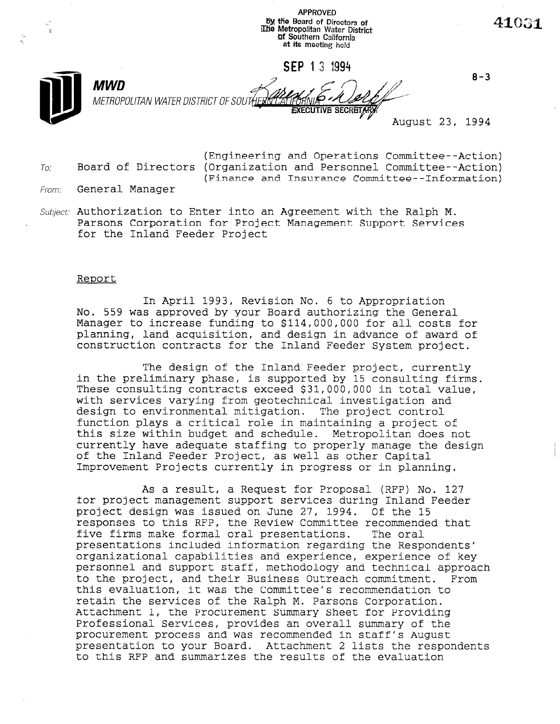by the Board of Directors of 41031  $\frac{1}{2}$ illie Metropolitan Water District **Qf Southern California** at its meeting held SEP 1 3 1994  $8 - 3$ **MWD** METROPOLITAN WATER DISTRICT OF SOUT August 23, 1994

APPROVED

- (Engineering and Operations Committee--Action)  $To:$  Board of Directors (Organization and Personnel Committee--Action) (Finance and Insurance Committee--Information)
- From: General Manager
- Subject: Authorization to Enter into an Agreement with the Ralph M. Parsons Corporation for Project Management Support Services for the Inland Feeder Project

#### Report

In April 1993, Revision No. 6 to Appropriation No. 559 was approved by your Board authorizing the General Manager to increase funding to \$114,000,000 for all costs for planning, land acquisition, and design in advance of award of construction contracts for the Inland Feeder System project.

The design of the Inland Feeder project, currently in the preliminary phase, is supported by 15 consulting firms. These consulting contracts exceed \$31,000,000 in total value, with services varying from geotechnical investigation and design to environmental mitigation. The project control function plays a critical role in maintaining a project of this size within budget and schedule. Metropolitan does not currently have adequate staffing to properly manage the design of the Inland Feeder Project, as well as other Capital Improvement Projects currently in progress or in planning.

As a result, a Request for Proposal (RFP) No. 127 for project management support services during Inland Feeder project design was issued on June 27, 1994. Of the 15 responses to this RFP, the Review Committee recommended that five firms make formal oral presentations. The oral presentations included information regarding the Respondents' organizational capabilities and experience, experience of key personnel and support staff, methodology and technical approach personnel and support staff, methodology and technical approach<br>to the project, and their Business Outreach commitment. From to the project, and their Business Outreach commitment. this evaluation, it was the Committee's recommendation to retain the services of the Ralph M. Parsons Corporation. Attachment 1, the Procurement Summary Sheet for Providing Professional Services, provides an overall summary of the procurement process and was recommended in staff's August presentation to your Board. Attachment 2 lists the respondents<br>to this RFP and summarizes the results of the evaluation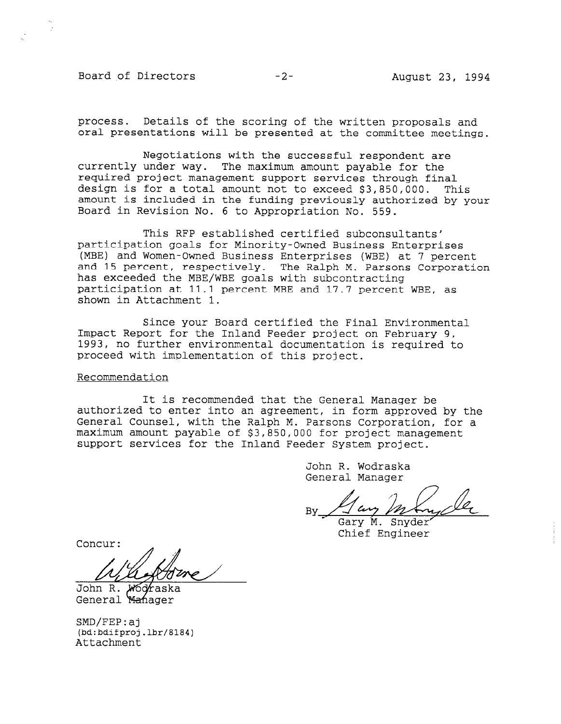### Board of Directors -2- August 23, 1994

process. Details of the scoring of the written proposals and oral presentations will be presented at the committee meetings.

Negotiations with the successful respondent are currently under way. The maximum amount payable for the required project management support services through final design is for a total amount not to exceed \$3,850,000. This amount is included in the funding previously authorized by your Board in Revision No. 6 to Appropriation No. 559.

This RFP established certified subconsultants' participation goals for Minority-Owned Business Enterprises (MBE) and Women-Owned Business Enterprises (WBE) at 7 percent and 15 percent, respectively. The Ralph M. Parsons Corporation has exceeded the MBE/WBE goals with subcontracting participation at 11.1 percent MBE and 17.7 percent WBE, as shown in Attachment 1.

Since your Board certified the Final Environmental Impact Report for the Inland Feeder project on February 9, 1993, no further environmental documentation is required to proceed with implementation of this project.

### Recommendation

It is recommended that the General Manager be authorized to enter into an agreement, in form approved by the General Counsel, with the Ralph M. Parsons Corporation, for a maximum amount payable of \$3,850,000 for project management support services for the Inland Feeder System project.

> John R. Wodraska General Manager

 $\n By  $\sqrt{\omega} \longrightarrow M \longrightarrow$  Gary M. Snyder$ 

Chief Engineer

Concur:

,'  $\overline{\mu}$ 

John R. General Manager

SMD/FEP:aj (bd:bdifproj.lbr/8184) Attachment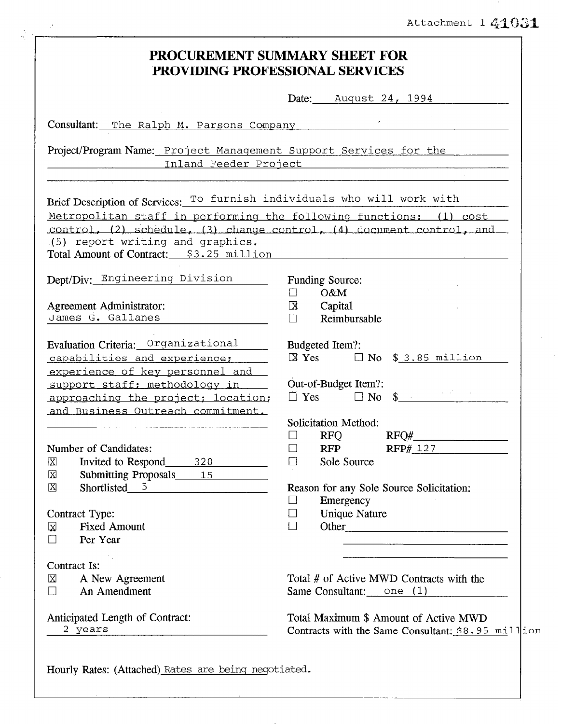## Attachment 141031

 $\frac{1}{2}$ 

| PROCUREMENT SUMMARY SHEET FOR<br>PROVIDING PROFESSIONAL SERVICES                                                                                                                                                                                                                                       |                                                                                                                                                                                        |  |  |  |
|--------------------------------------------------------------------------------------------------------------------------------------------------------------------------------------------------------------------------------------------------------------------------------------------------------|----------------------------------------------------------------------------------------------------------------------------------------------------------------------------------------|--|--|--|
|                                                                                                                                                                                                                                                                                                        | Date: August 24, 1994                                                                                                                                                                  |  |  |  |
| Consultant: The Ralph M. Parsons Company                                                                                                                                                                                                                                                               |                                                                                                                                                                                        |  |  |  |
| Project/Program Name: Project Management Support Services for the                                                                                                                                                                                                                                      | Inland Feeder Project Manuel Allen Manuel Manuel Manuel Allen                                                                                                                          |  |  |  |
| Brief Description of Services: To furnish individuals who will work with<br>Metropolitan staff in performing the following functions: (1) cost<br>control, (2) schedule, (3) change control, (4) document control, and<br>(5) report writing and graphics.<br>Total Amount of Contract: \$3.25 million |                                                                                                                                                                                        |  |  |  |
| Dept/Div: Engineering Division<br>Agreement Administrator:<br>James G. Gallanes                                                                                                                                                                                                                        | Funding Source:<br>O&M<br>$\Box$<br>Capital<br>$\boxtimes$<br>Reimbursable<br>$\Box$                                                                                                   |  |  |  |
| Evaluation Criteria: Organizational<br>capabilities and experience;<br>experience of key personnel and<br>support staff; methodology in<br>approaching the project; location;<br>and Business Outreach commitment.                                                                                     | Budgeted Item?:<br>$\boxtimes$ Yes $\Box$ No \$ 3.85 million<br>Out-of-Budget Item?:<br>$\Box$ Yes $\Box$ No \$<br>Solicitation Method:                                                |  |  |  |
| Number of Candidates:<br>Invited to Respond<br>$\boxtimes$<br>$\frac{320}{2}$<br>Submitting Proposals 15<br>X<br>Shortlisted 5<br>X<br>Contract Type:<br><b>Fixed Amount</b><br>⊠<br>Per Year<br>$\Box$                                                                                                | <b>RFQ</b><br>$\Box$<br>RFP# 127<br>$\Box$<br><b>RFP</b><br>Sole Source<br>□<br>Reason for any Sole Source Solicitation:<br>Emergency<br>$\Box$<br><b>Unique Nature</b><br>⊔<br>$\Box$ |  |  |  |
| Contract Is:<br>⊠<br>A New Agreement<br>An Amendment<br>$\Box$                                                                                                                                                                                                                                         | <u> 1980 - Jan Barat, margaret eta idazlea (h. 1980).</u><br>Total # of Active MWD Contracts with the<br>Same Consultant: $\Box$ one (1)                                               |  |  |  |
| Anticipated Length of Contract:<br>2 years                                                                                                                                                                                                                                                             | Total Maximum \$ Amount of Active MWD<br>Contracts with the Same Consultant: $$8.95$ million                                                                                           |  |  |  |

Hourly Rates: (Attached) Rates are being negotiated.

 $\mathcal{I}$ 

 $\tilde{\zeta}$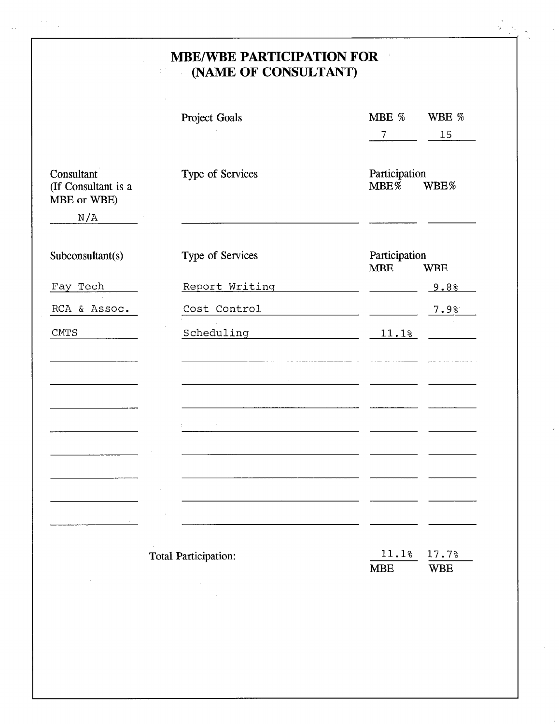### MBE/WBE PARTICIPATION FOR (NAME OF CONSULTANT)  $\frac{1}{2}$

š,

 $\alpha$ 

|                                                         | Project Goals        | MBE %<br>7                                | WBE %<br>15         |
|---------------------------------------------------------|----------------------|-------------------------------------------|---------------------|
| Consultant<br>(If Consultant is a<br>MBE or WBE)<br>N/A | Type of Services     | Participation<br>$MBE\%$                  | WBE%                |
| Subconsultant(s)                                        | Type of Services     | Participation<br><b>MBE</b><br><b>WBE</b> |                     |
| Fay Tech                                                | Report Writing       |                                           | 9.8%                |
| RCA & Assoc.                                            | Cost Control         |                                           | 7.9%                |
| <b>CMTS</b>                                             | Scheduling           | 11.1%                                     |                     |
|                                                         |                      |                                           |                     |
|                                                         |                      |                                           |                     |
|                                                         |                      |                                           |                     |
|                                                         |                      |                                           |                     |
|                                                         | Total Participation: | 11.1%<br><b>MBE</b>                       | 17.7%<br><b>WBE</b> |
|                                                         |                      |                                           |                     |